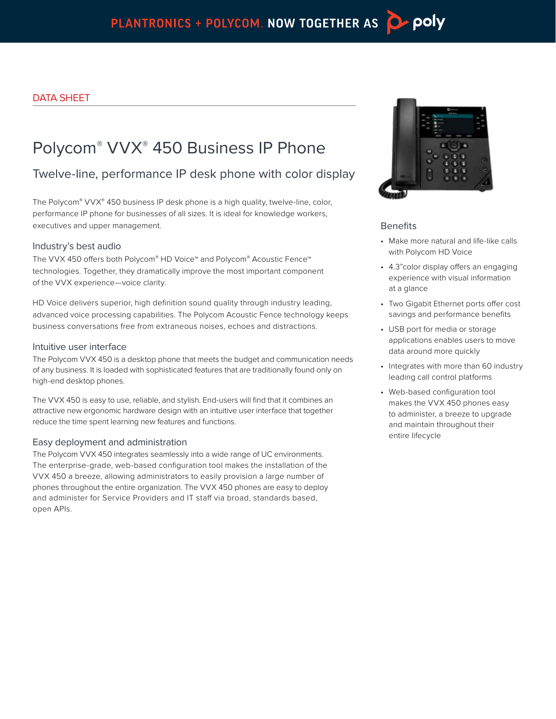# Polycom® VVX® 450 Business IP Phone

## Twelve-line, performance IP desk phone with color display

The Polycom® VVX® 450 business IP desk phone is a high quality, twelve-line, color, performance IP phone for businesses of all sizes. It is ideal for knowledge workers, executives and upper management.

#### Industry's best audio

The VVX 450 offers both Polycom® HD Voice™ and Polycom® Acoustic Fence™ technologies. Together, they dramatically improve the most important component of the VVX experience—voice clarity.

HD Voice delivers superior, high definition sound quality through industry leading, advanced voice processing capabilities. The Polycom Acoustic Fence technology keeps business conversations free from extraneous noises, echoes and distractions.

#### Intuitive user interface

The Polycom VVX 450 is a desktop phone that meets the budget and communication needs of any business. It is loaded with sophisticated features that are traditionally found only on high-end desktop phones.

The VVX 450 is easy to use, reliable, and stylish. End-users will find that it combines an attractive new ergonomic hardware design with an intuitive user interface that together reduce the time spent learning new features and functions.

#### Easy deployment and administration

The Polycom VVX 450 integrates seamlessly into a wide range of UC environments. The enterprise-grade, web-based configuration tool makes the installation of the VVX 450 a breeze, allowing administrators to easily provision a large number of phones throughout the entire organization. The VVX 450 phones are easy to deploy and administer for Service Providers and IT staff via broad, standards based, open APIs.



#### **Benefits**

- Make more natural and life-like calls with Polycom HD Voice
- 4.3"color display offers an engaging experience with visual information at a glance
- Two Gigabit Ethernet ports offer cost savings and performance benefits
- USB port for media or storage applications enables users to move data around more quickly
- Integrates with more than 60 industry leading call control platforms
- Web-based configuration tool makes the VVX 450 phones easy to administer, a breeze to upgrade and maintain throughout their entire lifecycle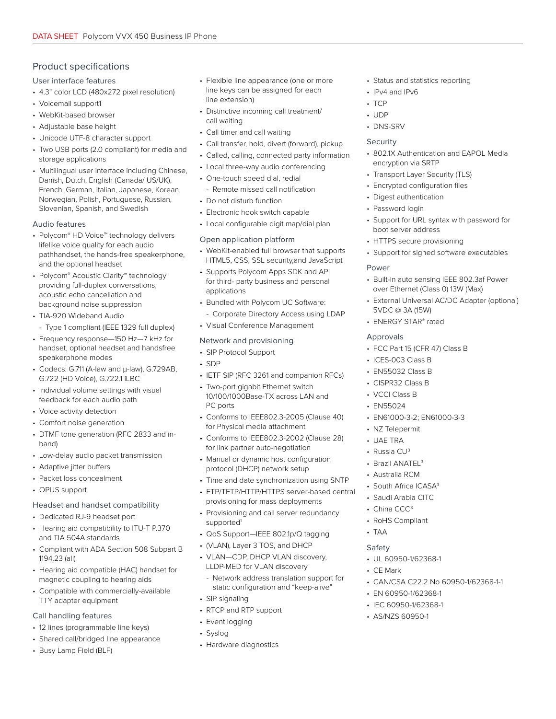#### Product specifications

User interface features

- 4.3" color LCD (480x272 pixel resolution)
- Voicemail support1
- WebKit-based browser
- Adjustable base height
- Unicode UTF-8 character support
- Two USB ports (2.0 compliant) for media and storage applications
- Multilingual user interface including Chinese, Danish, Dutch, English (Canada/ US/UK), French, German, Italian, Japanese, Korean, Norwegian, Polish, Portuguese, Russian, Slovenian, Spanish, and Swedish

#### Audio features

- Polycom® HD Voice™ technology delivers lifelike voice quality for each audio pathhandset, the hands-free speakerphone, and the optional headset
- Polycom® Acoustic Clarity™ technology providing full-duplex conversations, acoustic echo cancellation and background noise suppression
- TIA-920 Wideband Audio
- Type 1 compliant (IEEE 1329 full duplex)
- Frequency response—150 Hz—7 kHz for handset, optional headset and handsfree speakerphone modes
- Codecs: G.711 (A-law and μ-law), G.729AB, G.722 (HD Voice), G.722.1 iLBC
- Individual volume settings with visual feedback for each audio path
- Voice activity detection
- Comfort noise generation
- DTMF tone generation (RFC 2833 and inband)
- Low-delay audio packet transmission
- Adaptive jitter buffers
- Packet loss concealment
- OPUS support

#### Headset and handset compatibility

- Dedicated RJ-9 headset port
- Hearing aid compatibility to ITU-T P.370 and TIA 504A standards
- Compliant with ADA Section 508 Subpart B 1194.23 (all)
- Hearing aid compatible (HAC) handset for magnetic coupling to hearing aids
- Compatible with commercially-available TTY adapter equipment

#### Call handling features

- 12 lines (programmable line keys)
- Shared call/bridged line appearance
- Busy Lamp Field (BLF)
- Flexible line appearance (one or more line keys can be assigned for each line extension)
- Distinctive incoming call treatment/ call waiting
- Call timer and call waiting
- Call transfer, hold, divert (forward), pickup
- Called, calling, connected party information
- Local three-way audio conferencing
- One-touch speed dial, redial
	- Remote missed call notification
- Do not disturb function
- Electronic hook switch capable
- Local configurable digit map/dial plan

#### Open application platform

- WebKit-enabled full browser that supports HTML5, CSS, SSL security,and JavaScript
- Supports Polycom Apps SDK and API for third- party business and personal applications
- Bundled with Polycom UC Software: - Corporate Directory Access using LDAP
- Visual Conference Management

#### Network and provisioning

- SIP Protocol Support
- SDP
- IETF SIP (RFC 3261 and companion RFCs)
- Two-port gigabit Ethernet switch 10/100/1000Base-TX across LAN and PC ports
- Conforms to IEEE802.3-2005 (Clause 40) for Physical media attachment
- Conforms to IEEE802.3-2002 (Clause 28) for link partner auto-negotiation
- Manual or dynamic host configuration protocol (DHCP) network setup
- Time and date synchronization using SNTP
- FTP/TFTP/HTTP/HTTPS server-based central provisioning for mass deployments
- Provisioning and call server redundancy supported<sup>1</sup>
- QoS Support—IEEE 802.1p/Q tagging
- (VLAN), Layer 3 TOS, and DHCP
- VLAN—CDP, DHCP VLAN discovery, LLDP-MED for VLAN discovery
- Network address translation support for static configuration and "keep-alive"
- SIP signaling
- RTCP and RTP support
- Event logging
- Syslog
- Hardware diagnostics
- Status and statistics reporting
- IPv4 and IPv6
- TCP
- UDP
- DNS-SRV

#### Security

- 802.1X Authentication and EAPOL Media encryption via SRTP
- Transport Layer Security (TLS)
- Encrypted configuration files
- Digest authentication
- Password login
- Support for URL syntax with password for boot server address
- HTTPS secure provisioning
- Support for signed software executables

#### Power

- Built-in auto sensing IEEE 802.3af Power over Ethernet (Class 0) 13W (Max)
- External Universal AC/DC Adapter (optional) 5VDC @ 3A (15W)
- ENERGY STAR® rated

#### **Approvals**

- FCC Part 15 (CFR 47) Class B
- ICES-003 Class B
- EN55032 Class B
- CISPR32 Class B
- VCCI Class B
- EN55024
- EN61000-3-2; EN61000-3-3
- NZ Telepermit

• Brazil ANATEL<sup>3</sup> • Australia RCM • South Africa ICASA<sup>3</sup> • Saudi Arabia CITC • China CCC<sup>3</sup> • RoHS Compliant

• UL 60950-1/62368-1

• EN 60950-1/62368-1 • IEC 60950-1/62368-1 • AS/NZS 60950-1

• CAN/CSA C22.2 No 60950-1/62368-1-1

• UAE TRA

• TAA Safety

• CE Mark

• Russia CU<sup>3</sup>